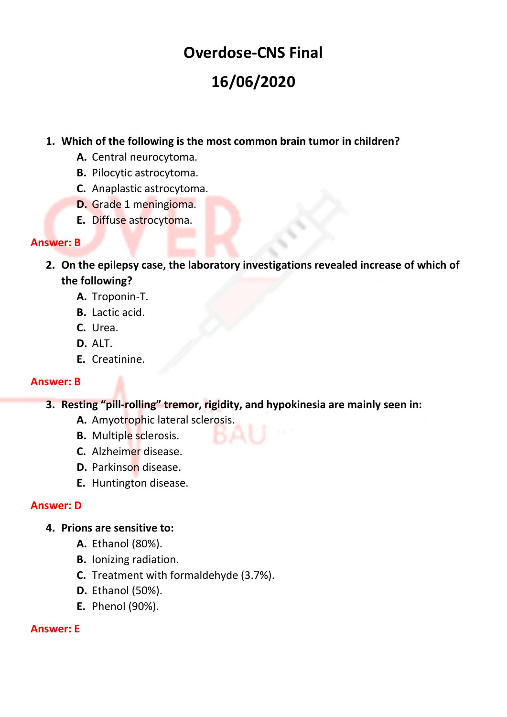# **Overdose-CNS Final 16/06/2020**

## **1. Which of the following is the most common brain tumor in children?**

- **A.** Central neurocytoma.
- **B.** Pilocytic astrocytoma.
- **C.** Anaplastic astrocytoma.
- **D.** Grade 1 meningioma.
- **E.** Diffuse astrocytoma.

#### **Answer: B**

- **2. On the epilepsy case, the laboratory investigations revealed increase of which of the following?**
	- **A.** Troponin-T.
	- **B.** Lactic acid.
	- **C.** Urea.
	- **D.** ALT.
	- **E.** Creatinine.

#### **Answer: B**

- **3. Resting "pill-rolling" tremor, rigidity, and hypokinesia are mainly seen in:**
	- **A.** Amyotrophic lateral sclerosis.
	- **B.** Multiple sclerosis.
	- **C.** Alzheimer disease.
	- **D.** Parkinson disease.
	- **E.** Huntington disease.

#### **Answer: D**

#### **4. Prions are sensitive to:**

- **A.** Ethanol (80%).
- **B.** Ionizing radiation.
- **C.** Treatment with formaldehyde (3.7%).
- **D.** Ethanol (50%).
- **E.** Phenol (90%).

#### **Answer: E**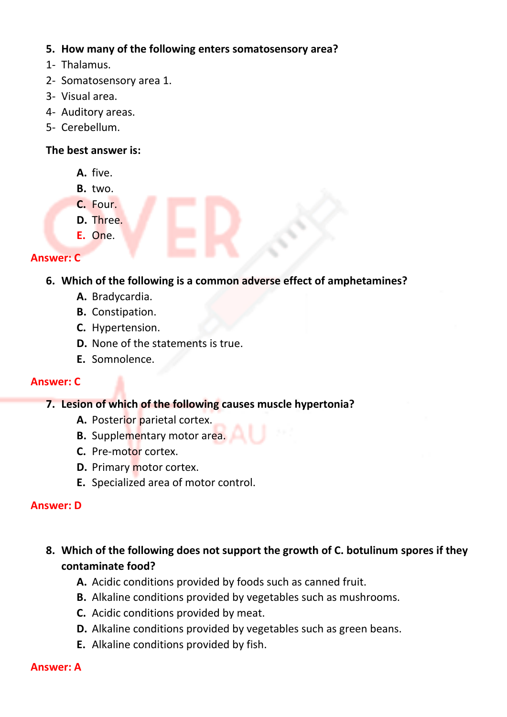## **5. How many of the following enters somatosensory area?**

- 1- Thalamus.
- 2- Somatosensory area 1.
- 3- Visual area.
- 4- Auditory areas.
- 5- Cerebellum.

## **The best answer is:**

- **A.** five.
- **B.** two.
- **C.** Four.
- **D.** Three.
- **E.** One.

## **Answer: C**

## **6. Which of the following is a common adverse effect of amphetamines?**

- **A.** Bradycardia.
- **B.** Constipation.
- **C.** Hypertension.
- **D.** None of the statements is true.
- **E.** Somnolence.

## **Answer: C**

## **7. Lesion of which of the following causes muscle hypertonia?**

- **A.** Posterior parietal cortex.
- **B.** Supplementary motor area.
- **C.** Pre-motor cortex.
- **D.** Primary motor cortex.
- **E.** Specialized area of motor control.

## **Answer: D**

- **8. Which of the following does not support the growth of C. botulinum spores if they contaminate food?**
	- **A.** Acidic conditions provided by foods such as canned fruit.
	- **B.** Alkaline conditions provided by vegetables such as mushrooms.
	- **C.** Acidic conditions provided by meat.
	- **D.** Alkaline conditions provided by vegetables such as green beans.
	- **E.** Alkaline conditions provided by fish.

## **Answer: A**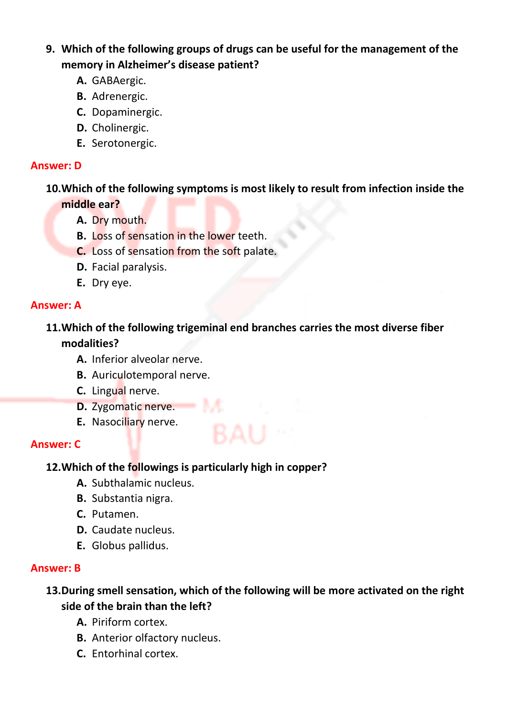# **9. Which of the following groups of drugs can be useful for the management of the memory in Alzheimer's disease patient?**

- **A.** GABAergic.
- **B.** Adrenergic.
- **C.** Dopaminergic.
- **D.** Cholinergic.
- **E.** Serotonergic.

#### **Answer: D**

**10.Which of the following symptoms is most likely to result from infection inside the middle ear?**

- **A.** Dry mouth.
- **B.** Loss of sensation in the lower teeth.
- **C.** Loss of sensation from the soft palate.
- **D.** Facial paralysis.
- **E.** Dry eye.

## **Answer: A**

# **11.Which of the following trigeminal end branches carries the most diverse fiber modalities?**

- **A.** Inferior alveolar nerve.
- **B.** Auriculotemporal nerve.
- **C.** Lingual nerve.
- **D.** Zygomatic nerve.
- **E.** Nasociliary nerve.

## **Answer: C**

## **12.Which of the followings is particularly high in copper?**

- **A.** Subthalamic nucleus.
- **B.** Substantia nigra.
- **C.** Putamen.
- **D.** Caudate nucleus.
- **E.** Globus pallidus.

## **Answer: B**

## **13.During smell sensation, which of the following will be more activated on the right side of the brain than the left?**

- **A.** Piriform cortex.
- **B.** Anterior olfactory nucleus.
- **C.** Entorhinal cortex.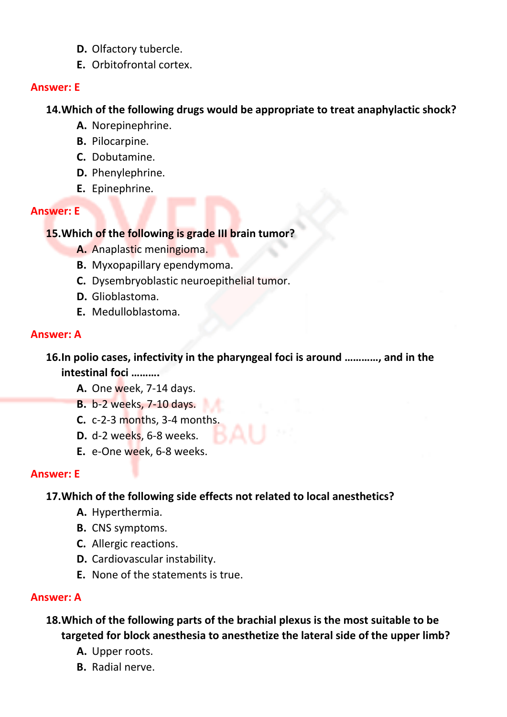- **D.** Olfactory tubercle.
- **E.** Orbitofrontal cortex.

## **Answer: E**

# **14.Which of the following drugs would be appropriate to treat anaphylactic shock?**

- **A.** Norepinephrine.
- **B.** Pilocarpine.
- **C.** Dobutamine.
- **D.** Phenylephrine.
- **E.** Epinephrine.

## **Answer: E**

## **15.Which of the following is grade III brain tumor?**

- **A.** Anaplastic meningioma.
- **B.** Myxopapillary ependymoma.
- **C.** Dysembryoblastic neuroepithelial tumor.
- **D.** Glioblastoma.
- **E.** Medulloblastoma.

# **Answer: A**

**16.In polio cases, infectivity in the pharyngeal foci is around …………, and in the intestinal foci ……….** 

- **A.** One week, 7-14 days.
- **B.** b-2 weeks, 7-10 days.
- **C.** c-2-3 months, 3-4 months.
- **D.** d-2 weeks, 6-8 weeks.
- **E.** e-One week, 6-8 weeks.

# **Answer: E**

# **17.Which of the following side effects not related to local anesthetics?**

- **A.** Hyperthermia.
- **B.** CNS symptoms.
- **C.** Allergic reactions.
- **D.** Cardiovascular instability.
- **E.** None of the statements is true.

# **Answer: A**

**18.Which of the following parts of the brachial plexus is the most suitable to be targeted for block anesthesia to anesthetize the lateral side of the upper limb?**

- **A.** Upper roots.
- **B.** Radial nerve.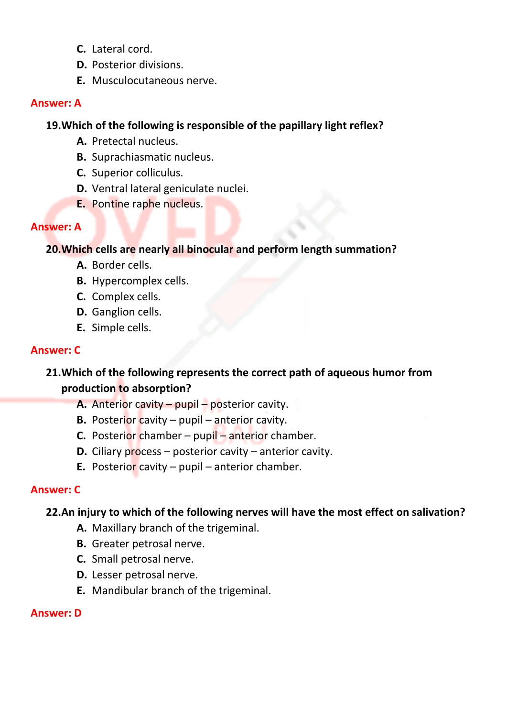- **C.** Lateral cord.
- **D.** Posterior divisions.
- **E.** Musculocutaneous nerve.

## **19.Which of the following is responsible of the papillary light reflex?**

- **A.** Pretectal nucleus.
- **B.** Suprachiasmatic nucleus.
- **C.** Superior colliculus.
- **D.** Ventral lateral geniculate nuclei.
- **E.** Pontine raphe nucleus.

## **Answer: A**

## **20.Which cells are nearly all binocular and perform length summation?**

- **A.** Border cells.
- **B.** Hypercomplex cells.
- **C.** Complex cells.
- **D.** Ganglion cells.
- **E.** Simple cells.

## **Answer: C**

## **21.Which of the following represents the correct path of aqueous humor from production to absorption?**

- **A.** Anterior cavity pupil posterior cavity.
- **B.** Posterior cavity pupil anterior cavity.
- **C.** Posterior chamber pupil anterior chamber.
- **D.** Ciliary process posterior cavity anterior cavity.
- **E.** Posterior cavity pupil anterior chamber.

## **Answer: C**

## **22.An injury to which of the following nerves will have the most effect on salivation?**

- **A.** Maxillary branch of the trigeminal.
- **B.** Greater petrosal nerve.
- **C.** Small petrosal nerve.
- **D.** Lesser petrosal nerve.
- **E.** Mandibular branch of the trigeminal.

## **Answer: D**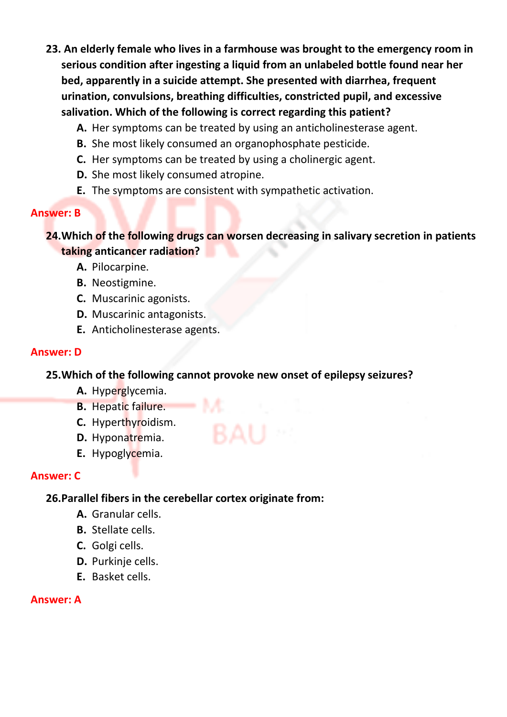- **23. An elderly female who lives in a farmhouse was brought to the emergency room in serious condition after ingesting a liquid from an unlabeled bottle found near her bed, apparently in a suicide attempt. She presented with diarrhea, frequent urination, convulsions, breathing difficulties, constricted pupil, and excessive salivation. Which of the following is correct regarding this patient?**
	- **A.** Her symptoms can be treated by using an anticholinesterase agent.
	- **B.** She most likely consumed an organophosphate pesticide.
	- **C.** Her symptoms can be treated by using a cholinergic agent.
	- **D.** She most likely consumed atropine.
	- **E.** The symptoms are consistent with sympathetic activation.

## **Answer: B**

## **24.Which of the following drugs can worsen decreasing in salivary secretion in patients taking anticancer radiation?**

- **A.** Pilocarpine.
- **B.** Neostigmine.
- **C.** Muscarinic agonists.
- **D.** Muscarinic antagonists.
- **E.** Anticholinesterase agents.

## **Answer: D**

## **25.Which of the following cannot provoke new onset of epilepsy seizures?**

- **A.** Hyperglycemia.
- **B.** Hepatic failure.
- **C.** Hyperthyroidism.
- **D.** Hyponatremia.
- **E.** Hypoglycemia.

## **Answer: C**

## **26.Parallel fibers in the cerebellar cortex originate from:**

- **A.** Granular cells.
- **B.** Stellate cells.
- **C.** Golgi cells.
- **D.** Purkinje cells.
- **E.** Basket cells.

## **Answer: A**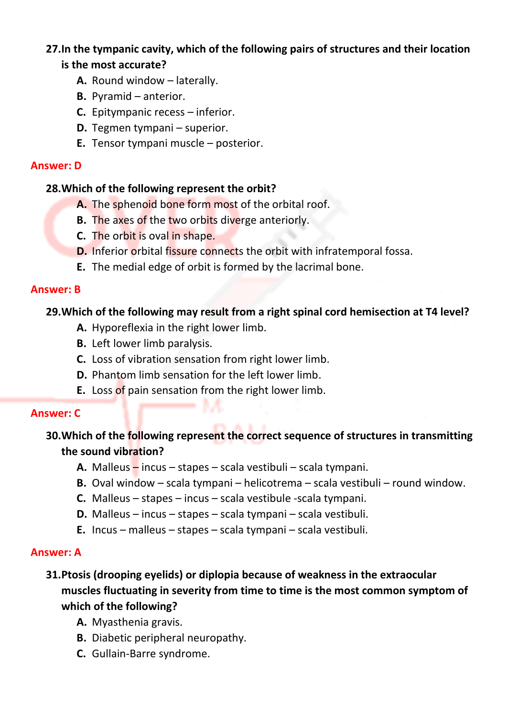## **27.In the tympanic cavity, which of the following pairs of structures and their location is the most accurate?**

- **A.** Round window laterally.
- **B.** Pyramid anterior.
- **C.** Epitympanic recess inferior.
- **D.** Tegmen tympani superior.
- **E.** Tensor tympani muscle posterior.

#### **Answer: D**

## **28.Which of the following represent the orbit?**

- **A.** The sphenoid bone form most of the orbital roof.
- **B.** The axes of the two orbits diverge anteriorly.
- **C.** The orbit is oval in shape.
- **D.** Inferior orbital fissure connects the orbit with infratemporal fossa.
- **E.** The medial edge of orbit is formed by the lacrimal bone.

#### **Answer: B**

## **29.Which of the following may result from a right spinal cord hemisection at T4 level?**

- **A.** Hyporeflexia in the right lower limb.
- **B.** Left lower limb paralysis.
- **C.** Loss of vibration sensation from right lower limb.
- **D.** Phantom limb sensation for the left lower limb.
- **E.** Loss of pain sensation from the right lower limb.

## **Answer: C**

# **30.Which of the following represent the correct sequence of structures in transmitting the sound vibration?**

- **A.** Malleus incus stapes scala vestibuli scala tympani.
- **B.** Oval window scala tympani helicotrema scala vestibuli round window.
- **C.** Malleus stapes incus scala vestibule -scala tympani.
- **D.** Malleus incus stapes scala tympani scala vestibuli.
- **E.** Incus malleus stapes scala tympani scala vestibuli.

## **Answer: A**

# **31.Ptosis (drooping eyelids) or diplopia because of weakness in the extraocular muscles fluctuating in severity from time to time is the most common symptom of which of the following?**

- **A.** Myasthenia gravis.
- **B.** Diabetic peripheral neuropathy.
- **C.** Gullain-Barre syndrome.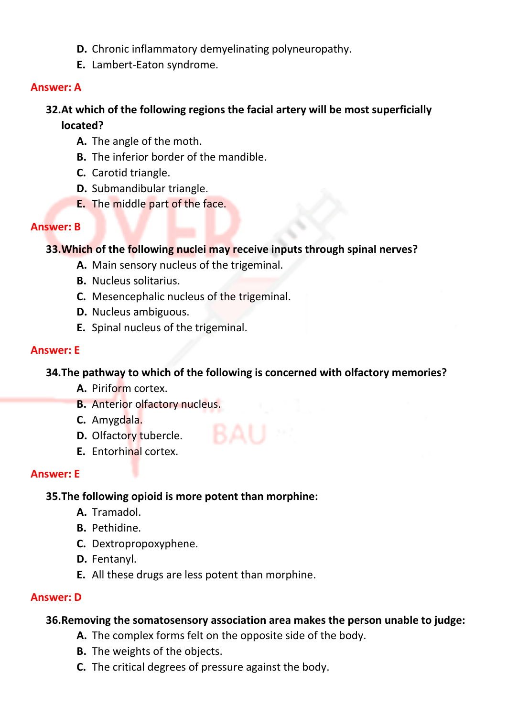- **D.** Chronic inflammatory demyelinating polyneuropathy.
- **E.** Lambert-Eaton syndrome.

# **32.At which of the following regions the facial artery will be most superficially located?**

- **A.** The angle of the moth.
- **B.** The inferior border of the mandible.
- **C.** Carotid triangle.
- **D.** Submandibular triangle.
- **E.** The middle part of the face.

## **Answer: B**

## **33.Which of the following nuclei may receive inputs through spinal nerves?**

- **A.** Main sensory nucleus of the trigeminal.
- **B.** Nucleus solitarius.
- **C.** Mesencephalic nucleus of the trigeminal.
- **D.** Nucleus ambiguous.
- **E.** Spinal nucleus of the trigeminal.

## **Answer: E**

## **34.The pathway to which of the following is concerned with olfactory memories?**

- **A.** Piriform cortex.
- **B.** Anterior olfactory nucleus.
- **C.** Amygdala.
- **D.** Olfactory tubercle.
- **E.** Entorhinal cortex.

## **Answer: E**

## **35.The following opioid is more potent than morphine:**

- **A.** Tramadol.
- **B.** Pethidine.
- **C.** Dextropropoxyphene.
- **D.** Fentanyl.
- **E.** All these drugs are less potent than morphine.

## **Answer: D**

## **36.Removing the somatosensory association area makes the person unable to judge:**

- **A.** The complex forms felt on the opposite side of the body.
- **B.** The weights of the objects.
- **C.** The critical degrees of pressure against the body.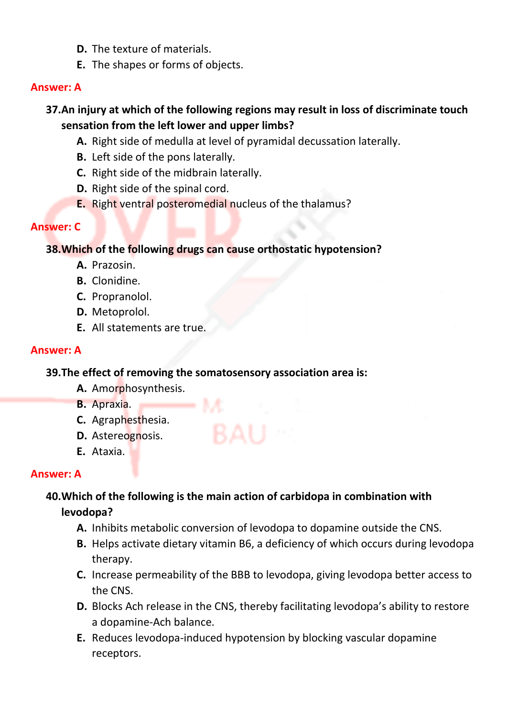- **D.** The texture of materials.
- **E.** The shapes or forms of objects.

# **37.An injury at which of the following regions may result in loss of discriminate touch sensation from the left lower and upper limbs?**

- **A.** Right side of medulla at level of pyramidal decussation laterally.
- **B.** Left side of the pons laterally.
- **C.** Right side of the midbrain laterally.
- **D.** Right side of the spinal cord.
- **E.** Right ventral posteromedial nucleus of the thalamus?

## **Answer: C**

## **38.Which of the following drugs can cause orthostatic hypotension?**

- **A.** Prazosin.
- **B.** Clonidine.
- **C.** Propranolol.
- **D.** Metoprolol.
- **E.** All statements are true.

## **Answer: A**

## **39.The effect of removing the somatosensory association area is:**

 $\longrightarrow M$ 

- **A.** Amorphosynthesis.
- **B.** Apraxia.
- **C.** Agraphesthesia.
- **D.** Astereognosis.
- **E.** Ataxia.

# **Answer: A**

## **40.Which of the following is the main action of carbidopa in combination with levodopa?**

- **A.** Inhibits metabolic conversion of levodopa to dopamine outside the CNS.
- **B.** Helps activate dietary vitamin B6, a deficiency of which occurs during levodopa therapy.
- **C.** Increase permeability of the BBB to levodopa, giving levodopa better access to the CNS.
- **D.** Blocks Ach release in the CNS, thereby facilitating levodopa's ability to restore a dopamine-Ach balance.
- **E.** Reduces levodopa-induced hypotension by blocking vascular dopamine receptors.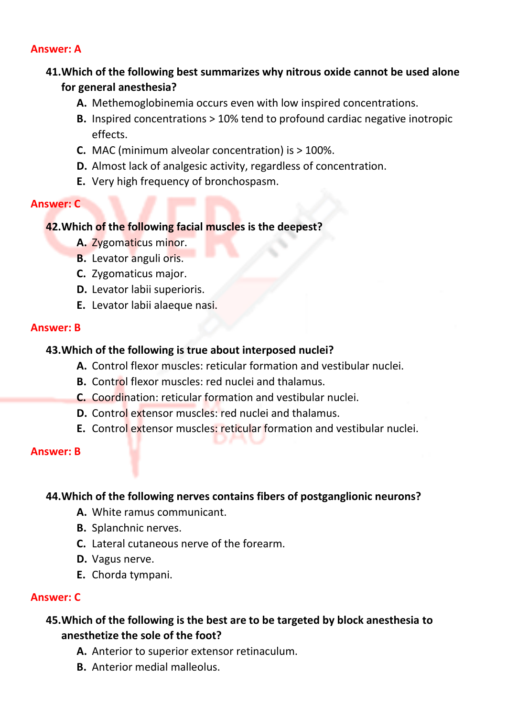# **41.Which of the following best summarizes why nitrous oxide cannot be used alone for general anesthesia?**

- **A.** Methemoglobinemia occurs even with low inspired concentrations.
- **B.** Inspired concentrations > 10% tend to profound cardiac negative inotropic effects.
- **C.** MAC (minimum alveolar concentration) is > 100%.
- **D.** Almost lack of analgesic activity, regardless of concentration.
- **E.** Very high frequency of bronchospasm.

#### **Answer: C**

## **42.Which of the following facial muscles is the deepest?**

- **A.** Zygomaticus minor.
- **B.** Levator anguli oris.
- **C.** Zygomaticus major.
- **D.** Levator labii superioris.
- **E.** Levator labii alaeque nasi.

## **Answer: B**

## **43.Which of the following is true about interposed nuclei?**

- **A.** Control flexor muscles: reticular formation and vestibular nuclei.
- **B.** Control flexor muscles: red nuclei and thalamus.
- **C.** Coordination: reticular formation and vestibular nuclei.
- **D.** Control extensor muscles: red nuclei and thalamus.
- **E.** Control extensor muscles: reticular formation and vestibular nuclei.

#### **Answer: B**

## **44.Which of the following nerves contains fibers of postganglionic neurons?**

- **A.** White ramus communicant.
- **B.** Splanchnic nerves.
- **C.** Lateral cutaneous nerve of the forearm.
- **D.** Vagus nerve.
- **E.** Chorda tympani.

## **Answer: C**

## **45.Which of the following is the best are to be targeted by block anesthesia to anesthetize the sole of the foot?**

- **A.** Anterior to superior extensor retinaculum.
- **B.** Anterior medial malleolus.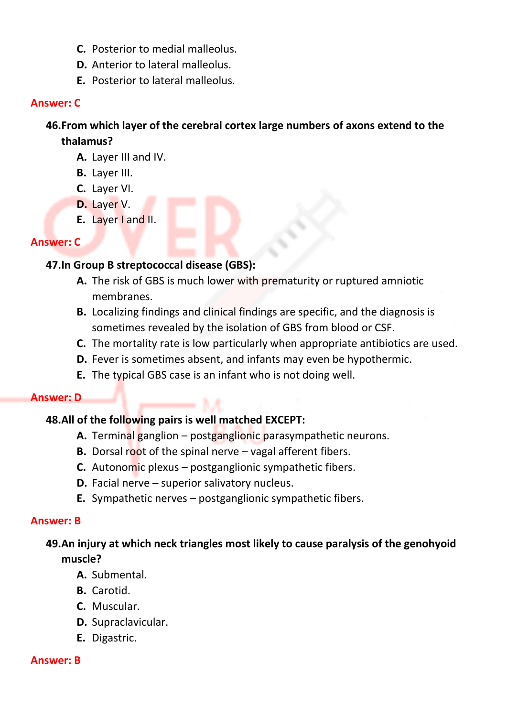- **C.** Posterior to medial malleolus.
- **D.** Anterior to lateral malleolus.
- **E.** Posterior to lateral malleolus.

#### **Answer: C**

## **46.From which layer of the cerebral cortex large numbers of axons extend to the thalamus?**

- **A.** Layer III and IV.
- **B.** Layer III.
- **C.** Layer VI.
- **D.** Layer V.
- **E.** Layer I and II.

#### **Answer: C**

## **47.In Group B streptococcal disease (GBS):**

- **A.** The risk of GBS is much lower with prematurity or ruptured amniotic membranes.
- **B.** Localizing findings and clinical findings are specific, and the diagnosis is sometimes revealed by the isolation of GBS from blood or CSF.
- **C.** The mortality rate is low particularly when appropriate antibiotics are used.
- **D.** Fever is sometimes absent, and infants may even be hypothermic.
- **E.** The typical GBS case is an infant who is not doing well.

#### **Answer: D**

#### **48.All of the following pairs is well matched EXCEPT:**

- **A.** Terminal ganglion postganglionic parasympathetic neurons.
- **B.** Dorsal root of the spinal nerve vagal afferent fibers.
- **C.** Autonomic plexus postganglionic sympathetic fibers.
- **D.** Facial nerve superior salivatory nucleus.
- **E.** Sympathetic nerves postganglionic sympathetic fibers.

#### **Answer: B**

## **49.An injury at which neck triangles most likely to cause paralysis of the genohyoid muscle?**

- **A.** Submental.
- **B.** Carotid.
- **C.** Muscular.
- **D.** Supraclavicular.
- **E.** Digastric.

#### **Answer: B**